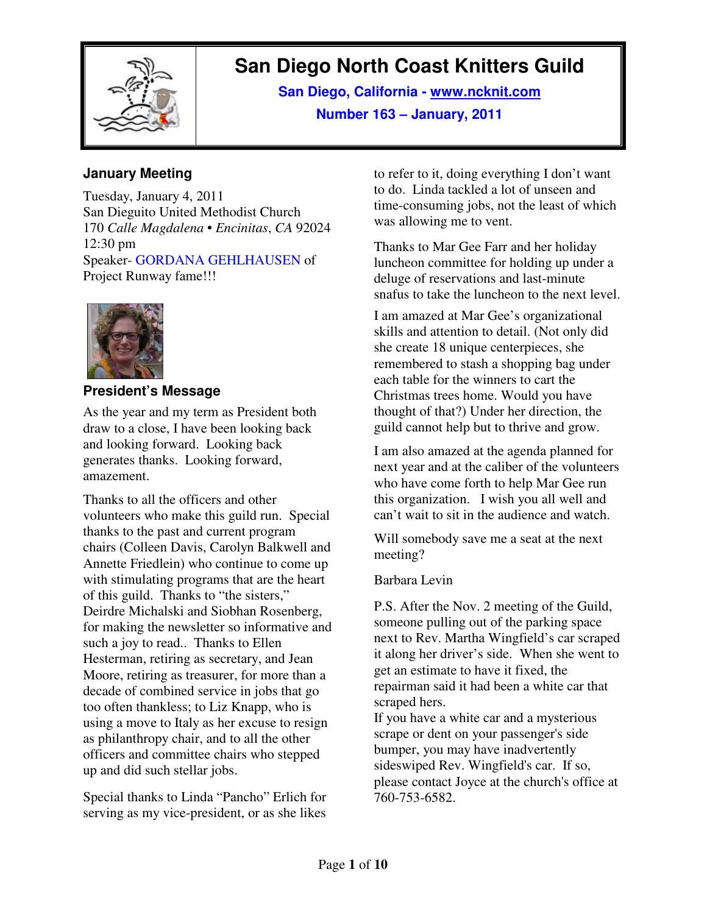

# **San Diego North Coast Knitters Guild**

**San Diego, California - www.ncknit.com Number 163 – January, 2011**

#### **January Meeting**

Tuesday, January 4, 2011 San Dieguito United Methodist Church 170 *Calle Magdalena* • *Encinitas*, *CA* 92024 12:30 pm Speaker- GORDANA GEHLHAUSEN of Project Runway fame!!!



## **President's Message**

As the year and my term as President both draw to a close, I have been looking back and looking forward. Looking back generates thanks. Looking forward, amazement.

Thanks to all the officers and other volunteers who make this guild run. Special thanks to the past and current program chairs (Colleen Davis, Carolyn Balkwell and Annette Friedlein) who continue to come up with stimulating programs that are the heart of this guild. Thanks to "the sisters," Deirdre Michalski and Siobhan Rosenberg, for making the newsletter so informative and such a joy to read.. Thanks to Ellen Hesterman, retiring as secretary, and Jean Moore, retiring as treasurer, for more than a decade of combined service in jobs that go too often thankless; to Liz Knapp, who is using a move to Italy as her excuse to resign as philanthropy chair, and to all the other officers and committee chairs who stepped up and did such stellar jobs.

Special thanks to Linda "Pancho" Erlich for serving as my vice-president, or as she likes

to refer to it, doing everything I don't want to do. Linda tackled a lot of unseen and time-consuming jobs, not the least of which was allowing me to vent.

Thanks to Mar Gee Farr and her holiday luncheon committee for holding up under a deluge of reservations and last-minute snafus to take the luncheon to the next level.

I am amazed at Mar Gee's organizational skills and attention to detail. (Not only did she create 18 unique centerpieces, she remembered to stash a shopping bag under each table for the winners to cart the Christmas trees home. Would you have thought of that?) Under her direction, the guild cannot help but to thrive and grow.

I am also amazed at the agenda planned for next year and at the caliber of the volunteers who have come forth to help Mar Gee run this organization. I wish you all well and can't wait to sit in the audience and watch.

Will somebody save me a seat at the next meeting?

#### Barbara Levin

P.S. After the Nov. 2 meeting of the Guild, someone pulling out of the parking space next to Rev. Martha Wingfield's car scraped it along her driver's side. When she went to get an estimate to have it fixed, the repairman said it had been a white car that scraped hers.

If you have a white car and a mysterious scrape or dent on your passenger's side bumper, you may have inadvertently sideswiped Rev. Wingfield's car. If so, please contact Joyce at the church's office at 760-753-6582.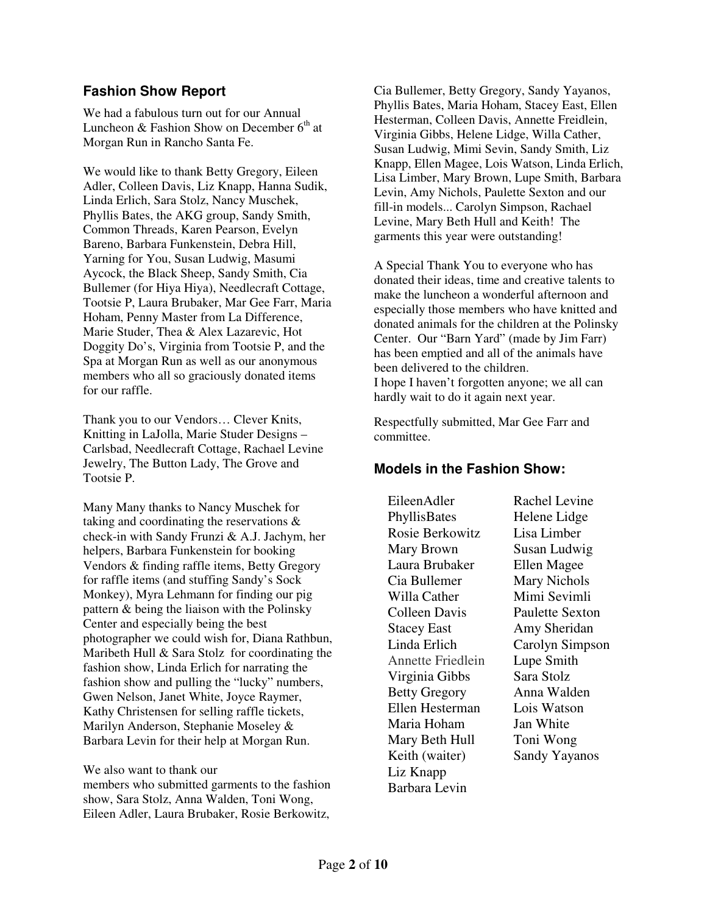#### **Fashion Show Report**

We had a fabulous turn out for our Annual Luncheon & Fashion Show on December  $6<sup>th</sup>$  at Morgan Run in Rancho Santa Fe.

We would like to thank Betty Gregory, Eileen Adler, Colleen Davis, Liz Knapp, Hanna Sudik, Linda Erlich, Sara Stolz, Nancy Muschek, Phyllis Bates, the AKG group, Sandy Smith, Common Threads, Karen Pearson, Evelyn Bareno, Barbara Funkenstein, Debra Hill, Yarning for You, Susan Ludwig, Masumi Aycock, the Black Sheep, Sandy Smith, Cia Bullemer (for Hiya Hiya), Needlecraft Cottage, Tootsie P, Laura Brubaker, Mar Gee Farr, Maria Hoham, Penny Master from La Difference, Marie Studer, Thea & Alex Lazarevic, Hot Doggity Do's, Virginia from Tootsie P, and the Spa at Morgan Run as well as our anonymous members who all so graciously donated items for our raffle.

Thank you to our Vendors… Clever Knits, Knitting in LaJolla, Marie Studer Designs – Carlsbad, Needlecraft Cottage, Rachael Levine Jewelry, The Button Lady, The Grove and Tootsie P.

Many Many thanks to Nancy Muschek for taking and coordinating the reservations & check-in with Sandy Frunzi & A.J. Jachym, her helpers, Barbara Funkenstein for booking Vendors & finding raffle items, Betty Gregory for raffle items (and stuffing Sandy's Sock Monkey), Myra Lehmann for finding our pig pattern & being the liaison with the Polinsky Center and especially being the best photographer we could wish for, Diana Rathbun, Maribeth Hull & Sara Stolz for coordinating the fashion show, Linda Erlich for narrating the fashion show and pulling the "lucky" numbers, Gwen Nelson, Janet White, Joyce Raymer, Kathy Christensen for selling raffle tickets, Marilyn Anderson, Stephanie Moseley & Barbara Levin for their help at Morgan Run.

We also want to thank our members who submitted garments to the fashion show, Sara Stolz, Anna Walden, Toni Wong, Eileen Adler, Laura Brubaker, Rosie Berkowitz,

Cia Bullemer, Betty Gregory, Sandy Yayanos, Phyllis Bates, Maria Hoham, Stacey East, Ellen Hesterman, Colleen Davis, Annette Freidlein, Virginia Gibbs, Helene Lidge, Willa Cather, Susan Ludwig, Mimi Sevin, Sandy Smith, Liz Knapp, Ellen Magee, Lois Watson, Linda Erlich, Lisa Limber, Mary Brown, Lupe Smith, Barbara Levin, Amy Nichols, Paulette Sexton and our fill-in models... Carolyn Simpson, Rachael Levine, Mary Beth Hull and Keith! The garments this year were outstanding!

A Special Thank You to everyone who has donated their ideas, time and creative talents to make the luncheon a wonderful afternoon and especially those members who have knitted and donated animals for the children at the Polinsky Center. Our "Barn Yard" (made by Jim Farr) has been emptied and all of the animals have been delivered to the children. I hope I haven't forgotten anyone; we all can hardly wait to do it again next year.

Respectfully submitted, Mar Gee Farr and committee.

#### **Models in the Fashion Show:**

EileenAdler PhyllisBates Rosie Berkowitz Mary Brown Laura Brubaker Cia Bullemer Willa Cather Colleen Davis Stacey East Linda Erlich Annette Friedlein Virginia Gibbs Betty Gregory Ellen Hesterman Maria Hoham Mary Beth Hull Keith (waiter) Liz Knapp Barbara Levin

Rachel Levine Helene Lidge Lisa Limber Susan Ludwig Ellen Magee Mary Nichols Mimi Sevimli Paulette Sexton Amy Sheridan Carolyn Simpson Lupe Smith Sara Stolz Anna Walden Lois Watson Jan White Toni Wong Sandy Yayanos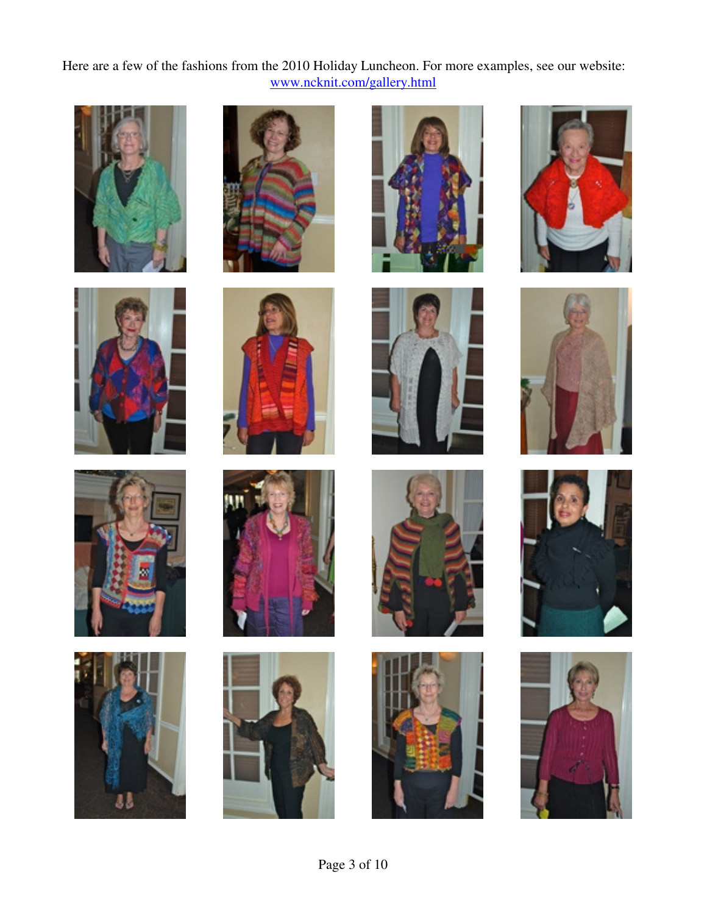Here are a few of the fashions from the 2010 Holiday Luncheon. For more examples, see our website: www.ncknit.com/gallery.html































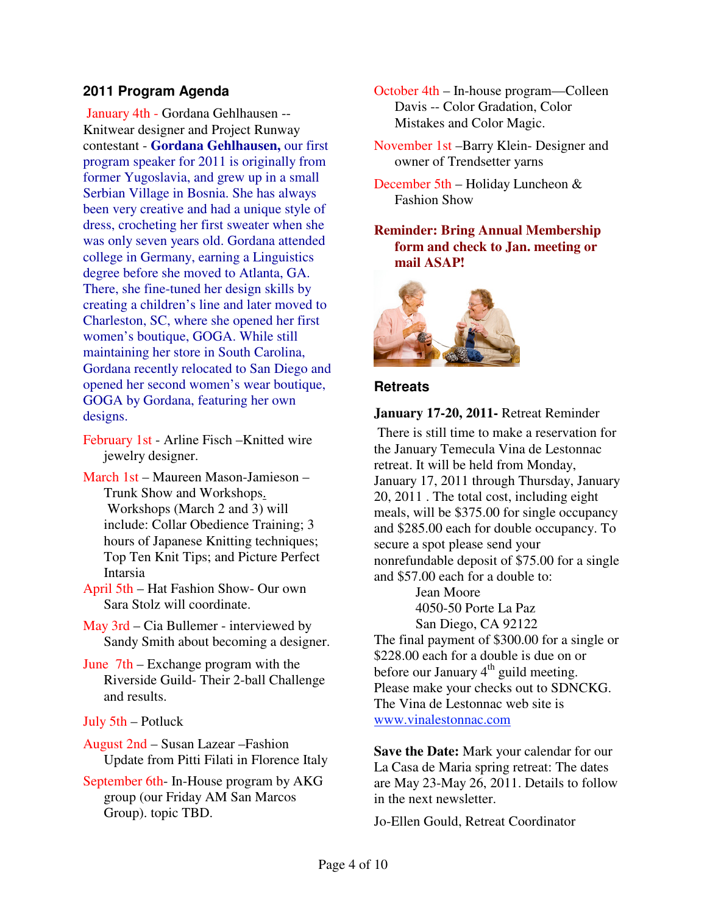#### **2011 Program Agenda**

 January 4th - Gordana Gehlhausen -- Knitwear designer and Project Runway contestant - **Gordana Gehlhausen,** our first program speaker for 2011 is originally from former Yugoslavia, and grew up in a small Serbian Village in Bosnia. She has always been very creative and had a unique style of dress, crocheting her first sweater when she was only seven years old. Gordana attended college in Germany, earning a Linguistics degree before she moved to Atlanta, GA. There, she fine-tuned her design skills by creating a children's line and later moved to Charleston, SC, where she opened her first women's boutique, GOGA. While still maintaining her store in South Carolina, Gordana recently relocated to San Diego and opened her second women's wear boutique, GOGA by Gordana, featuring her own designs.

- February 1st Arline Fisch –Knitted wire jewelry designer.
- March 1st Maureen Mason-Jamieson Trunk Show and Workshops. Workshops (March 2 and 3) will include: Collar Obedience Training; 3 hours of Japanese Knitting techniques; Top Ten Knit Tips; and Picture Perfect Intarsia
- April 5th Hat Fashion Show- Our own Sara Stolz will coordinate.
- May 3rd Cia Bullemer interviewed by Sandy Smith about becoming a designer.
- June 7th Exchange program with the Riverside Guild- Their 2-ball Challenge and results.
- July 5th Potluck
- August 2nd Susan Lazear –Fashion Update from Pitti Filati in Florence Italy
- September 6th- In-House program by AKG group (our Friday AM San Marcos Group). topic TBD.
- October 4th In-house program—Colleen Davis -- Color Gradation, Color Mistakes and Color Magic.
- November 1st –Barry Klein- Designer and owner of Trendsetter yarns
- December 5th Holiday Luncheon & Fashion Show
- **Reminder: Bring Annual Membership form and check to Jan. meeting or mail ASAP!**

![](_page_3_Picture_14.jpeg)

#### **Retreats**

#### **January 17-20, 2011-** Retreat Reminder

 There is still time to make a reservation for the January Temecula Vina de Lestonnac retreat. It will be held from Monday, January 17, 2011 through Thursday, January 20, 2011 . The total cost, including eight meals, will be \$375.00 for single occupancy and \$285.00 each for double occupancy. To secure a spot please send your nonrefundable deposit of \$75.00 for a single and \$57.00 each for a double to:

> Jean Moore 4050-50 Porte La Paz San Diego, CA 92122

The final payment of \$300.00 for a single or \$228.00 each for a double is due on or before our January  $4<sup>th</sup>$  guild meeting. Please make your checks out to SDNCKG. The Vina de Lestonnac web site is www.vinalestonnac.com

**Save the Date:** Mark your calendar for our La Casa de Maria spring retreat: The dates are May 23-May 26, 2011. Details to follow in the next newsletter.

Jo-Ellen Gould, Retreat Coordinator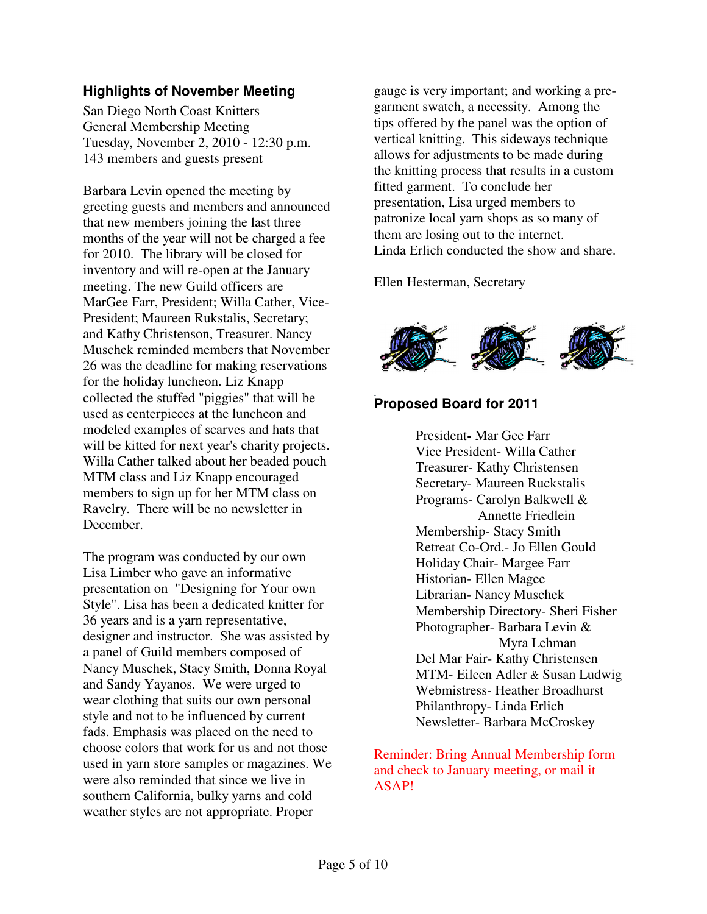## **Highlights of November Meeting**

San Diego North Coast Knitters General Membership Meeting Tuesday, November 2, 2010 - 12:30 p.m. 143 members and guests present

Barbara Levin opened the meeting by greeting guests and members and announced that new members joining the last three months of the year will not be charged a fee for 2010. The library will be closed for inventory and will re-open at the January meeting. The new Guild officers are MarGee Farr, President; Willa Cather, Vice-President; Maureen Rukstalis, Secretary; and Kathy Christenson, Treasurer. Nancy Muschek reminded members that November 26 was the deadline for making reservations for the holiday luncheon. Liz Knapp collected the stuffed "piggies" that will be used as centerpieces at the luncheon and modeled examples of scarves and hats that will be kitted for next year's charity projects. Willa Cather talked about her beaded pouch MTM class and Liz Knapp encouraged members to sign up for her MTM class on Ravelry. There will be no newsletter in December.

The program was conducted by our own Lisa Limber who gave an informative presentation on "Designing for Your own Style". Lisa has been a dedicated knitter for 36 years and is a yarn representative, designer and instructor. She was assisted by a panel of Guild members composed of Nancy Muschek, Stacy Smith, Donna Royal and Sandy Yayanos. We were urged to wear clothing that suits our own personal style and not to be influenced by current fads. Emphasis was placed on the need to choose colors that work for us and not those used in yarn store samples or magazines. We were also reminded that since we live in southern California, bulky yarns and cold weather styles are not appropriate. Proper

gauge is very important; and working a pregarment swatch, a necessity. Among the tips offered by the panel was the option of vertical knitting. This sideways technique allows for adjustments to be made during the knitting process that results in a custom fitted garment. To conclude her presentation, Lisa urged members to patronize local yarn shops as so many of them are losing out to the internet. Linda Erlich conducted the show and share.

Ellen Hesterman, Secretary

![](_page_4_Picture_6.jpeg)

## **Proposed Board for 2011**

President**-** Mar Gee Farr Vice President- Willa Cather Treasurer- Kathy Christensen Secretary- Maureen Ruckstalis Programs- Carolyn Balkwell & Annette Friedlein Membership- Stacy Smith Retreat Co-Ord.- Jo Ellen Gould Holiday Chair- Margee Farr Historian- Ellen Magee Librarian- Nancy Muschek Membership Directory- Sheri Fisher Photographer- Barbara Levin & Myra Lehman Del Mar Fair- Kathy Christensen MTM- Eileen Adler & Susan Ludwig Webmistress- Heather Broadhurst Philanthropy- Linda Erlich Newsletter- Barbara McCroskey

Reminder: Bring Annual Membership form and check to January meeting, or mail it ASAP!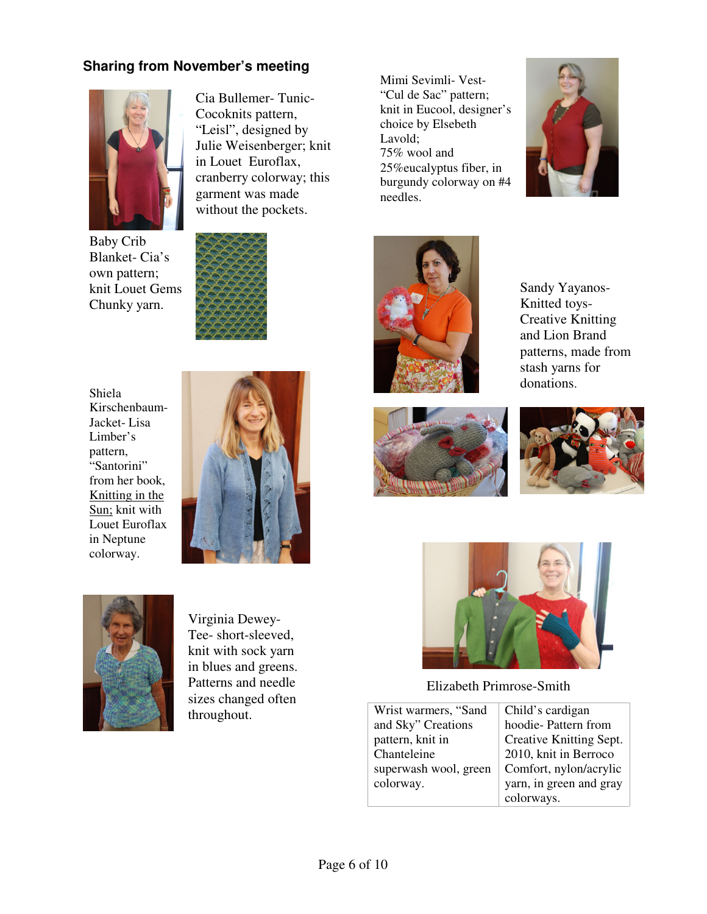## **Sharing from November's meeting**

![](_page_5_Picture_1.jpeg)

Baby Crib Blanket- Cia's own pattern; knit Louet Gems Chunky yarn.

![](_page_5_Picture_3.jpeg)

Cia Bullemer- Tunic-Cocoknits pattern, "Leisl", designed by Julie Weisenberger; knit in Louet Euroflax, cranberry colorway; this garment was made without the pockets.

Shiela Kirschenbaum-Jacket- Lisa Limber's pattern, "Santorini" from her book, Knitting in the Sun; knit with Louet Euroflax in Neptune colorway.

![](_page_5_Picture_5.jpeg)

![](_page_5_Picture_6.jpeg)

Virginia Dewey-Tee- short-sleeved, knit with sock yarn in blues and greens. Patterns and needle sizes changed often throughout.

Mimi Sevimli- Vest- "Cul de Sac" pattern; knit in Eucool, designer's choice by Elsebeth Lavold; 75% wool and 25%eucalyptus fiber, in burgundy colorway on #4 needles.

![](_page_5_Picture_9.jpeg)

![](_page_5_Picture_10.jpeg)

Sandy Yayanos-Knitted toys-Creative Knitting and Lion Brand patterns, made from stash yarns for donations.

![](_page_5_Picture_12.jpeg)

![](_page_5_Picture_13.jpeg)

![](_page_5_Picture_14.jpeg)

Elizabeth Primrose-Smith

| Wrist warmers, "Sand  | Child's cardigan        |
|-----------------------|-------------------------|
| and Sky" Creations    | hoodie-Pattern from     |
| pattern, knit in      | Creative Knitting Sept. |
| Chanteleine           | 2010, knit in Berroco   |
| superwash wool, green | Comfort, nylon/acrylic  |
| colorway.             | yarn, in green and gray |
|                       | colorways.              |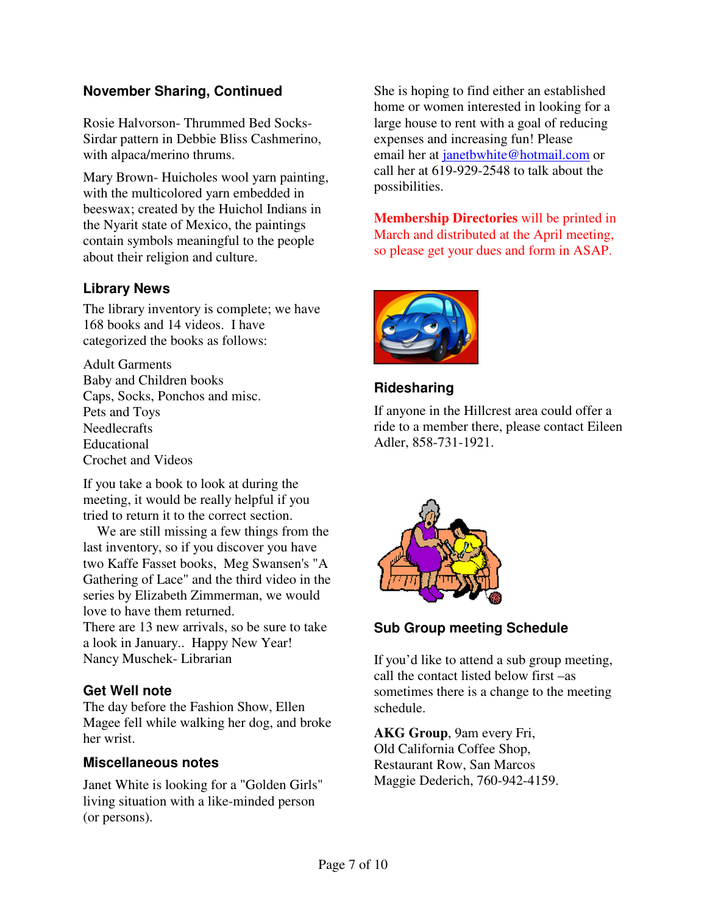## **November Sharing, Continued**

Rosie Halvorson- Thrummed Bed Socks-Sirdar pattern in Debbie Bliss Cashmerino, with alpaca/merino thrums.

Mary Brown- Huicholes wool yarn painting, with the multicolored yarn embedded in beeswax; created by the Huichol Indians in the Nyarit state of Mexico, the paintings contain symbols meaningful to the people about their religion and culture.

## **Library News**

The library inventory is complete; we have 168 books and 14 videos. I have categorized the books as follows:

Adult Garments Baby and Children books Caps, Socks, Ponchos and misc. Pets and Toys **Needlecrafts** Educational Crochet and Videos

If you take a book to look at during the meeting, it would be really helpful if you tried to return it to the correct section.

 We are still missing a few things from the last inventory, so if you discover you have two Kaffe Fasset books, Meg Swansen's "A Gathering of Lace" and the third video in the series by Elizabeth Zimmerman, we would love to have them returned.

There are 13 new arrivals, so be sure to take a look in January.. Happy New Year! Nancy Muschek- Librarian

## **Get Well note**

The day before the Fashion Show, Ellen Magee fell while walking her dog, and broke her wrist.

#### **Miscellaneous notes**

Janet White is looking for a "Golden Girls" living situation with a like-minded person (or persons).

She is hoping to find either an established home or women interested in looking for a large house to rent with a goal of reducing expenses and increasing fun! Please email her at janetbwhite@hotmail.com or call her at 619-929-2548 to talk about the possibilities.

**Membership Directories** will be printed in March and distributed at the April meeting, so please get your dues and form in ASAP.

![](_page_6_Picture_15.jpeg)

## **Ridesharing**

If anyone in the Hillcrest area could offer a ride to a member there, please contact Eileen Adler, 858-731-1921.

![](_page_6_Picture_18.jpeg)

**Sub Group meeting Schedule** 

If you'd like to attend a sub group meeting, call the contact listed below first –as sometimes there is a change to the meeting schedule.

**AKG Group**, 9am every Fri, Old California Coffee Shop, Restaurant Row, San Marcos Maggie Dederich, 760-942-4159.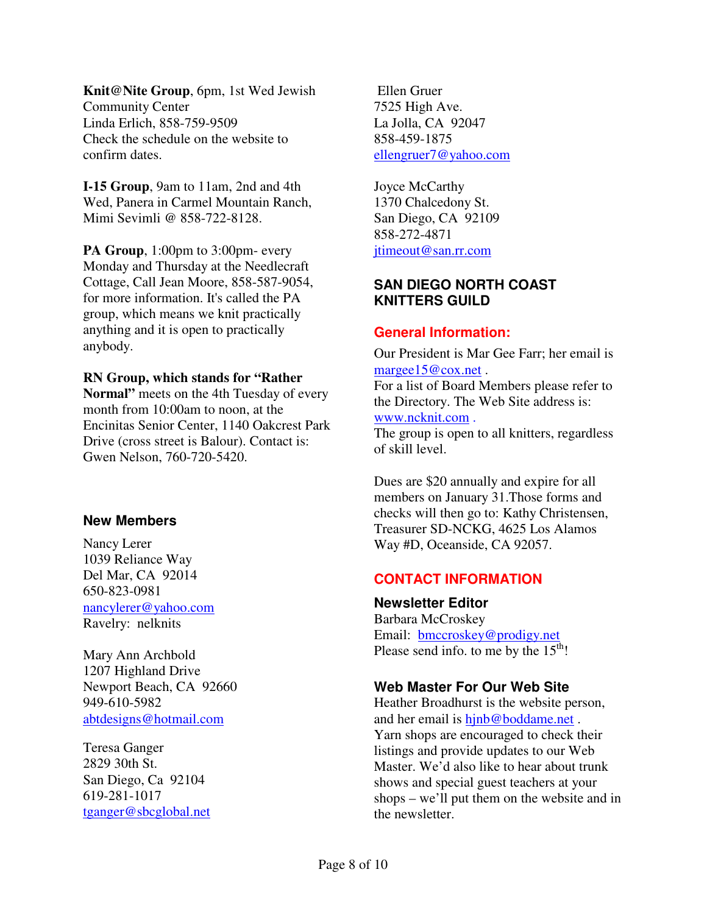**Knit@Nite Group**, 6pm, 1st Wed Jewish Community Center Linda Erlich, 858-759-9509 Check the schedule on the website to confirm dates.

**I-15 Group**, 9am to 11am, 2nd and 4th Wed, Panera in Carmel Mountain Ranch, Mimi Sevimli @ 858-722-8128.

**PA Group**, 1:00pm to 3:00pm- every Monday and Thursday at the Needlecraft Cottage, Call Jean Moore, 858-587-9054, for more information. It's called the PA group, which means we knit practically anything and it is open to practically anybody.

#### **RN Group, which stands for "Rather**

**Normal"** meets on the 4th Tuesday of every month from 10:00am to noon, at the Encinitas Senior Center, 1140 Oakcrest Park Drive (cross street is Balour). Contact is: Gwen Nelson, 760-720-5420.

#### **New Members**

Nancy Lerer 1039 Reliance Way Del Mar, CA 92014 650-823-0981 nancylerer@yahoo.com Ravelry: nelknits

Mary Ann Archbold 1207 Highland Drive Newport Beach, CA 92660 949-610-5982 abtdesigns@hotmail.com

Teresa Ganger 2829 30th St. San Diego, Ca 92104 619-281-1017 tganger@sbcglobal.net

 Ellen Gruer 7525 High Ave. La Jolla, CA 92047 858-459-1875 ellengruer7@yahoo.com

Joyce McCarthy 1370 Chalcedony St. San Diego, CA 92109 858-272-4871 jtimeout@san.rr.com

#### **SAN DIEGO NORTH COAST KNITTERS GUILD**

#### **General Information:**

Our President is Mar Gee Farr; her email is margee15@cox.net.

For a list of Board Members please refer to the Directory. The Web Site address is: www.ncknit.com .

The group is open to all knitters, regardless of skill level.

Dues are \$20 annually and expire for all members on January 31.Those forms and checks will then go to: Kathy Christensen, Treasurer SD-NCKG, 4625 Los Alamos Way #D, Oceanside, CA 92057.

## **CONTACT INFORMATION**

**Newsletter Editor**  Barbara McCroskey Email: bmccroskey@prodigy.net Please send info. to me by the  $15<sup>th</sup>$ !

## **Web Master For Our Web Site**

Heather Broadhurst is the website person, and her email is hinb@boddame.net. Yarn shops are encouraged to check their listings and provide updates to our Web Master. We'd also like to hear about trunk shows and special guest teachers at your shops – we'll put them on the website and in the newsletter.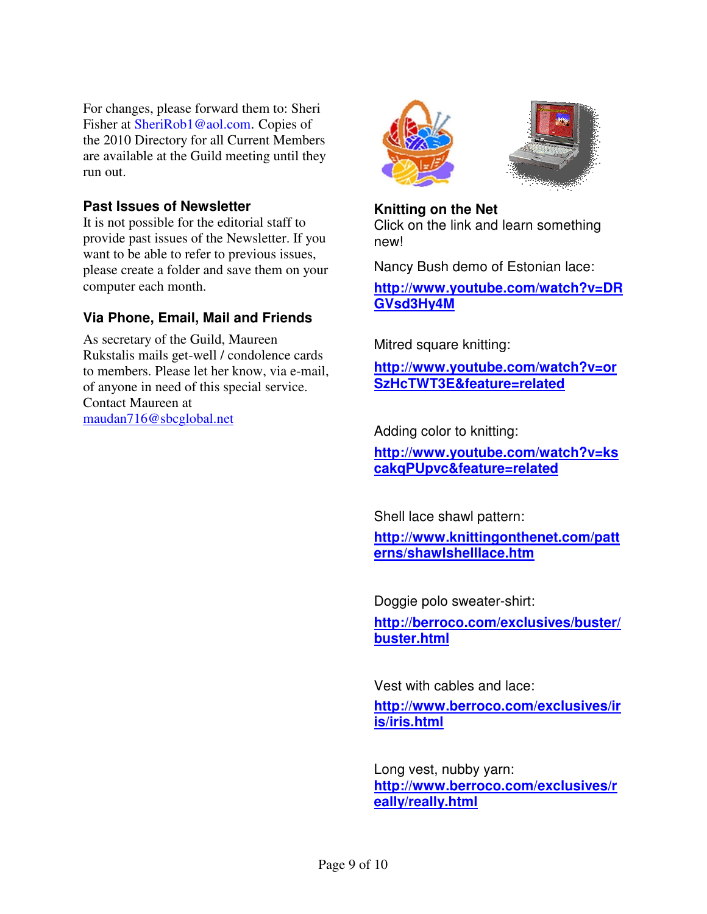For changes, please forward them to: Sheri Fisher at SheriRob1@aol.com. Copies of the 2010 Directory for all Current Members are available at the Guild meeting until they run out.

#### **Past Issues of Newsletter**

It is not possible for the editorial staff to provide past issues of the Newsletter. If you want to be able to refer to previous issues, please create a folder and save them on your computer each month.

## **Via Phone, Email, Mail and Friends**

As secretary of the Guild, Maureen Rukstalis mails get-well / condolence cards to members. Please let her know, via e-mail, of anyone in need of this special service. Contact Maureen at maudan716@sbcglobal.net

![](_page_8_Picture_5.jpeg)

![](_page_8_Picture_6.jpeg)

**Knitting on the Net**  Click on the link and learn something new!

Nancy Bush demo of Estonian lace:

**http://www.youtube.com/watch?v=DR GVsd3Hy4M**

Mitred square knitting:

**http://www.youtube.com/watch?v=or SzHcTWT3E&feature=related**

Adding color to knitting:

**http://www.youtube.com/watch?v=ks cakqPUpvc&feature=related**

Shell lace shawl pattern:

**http://www.knittingonthenet.com/patt erns/shawlshelllace.htm**

Doggie polo sweater-shirt:

**http://berroco.com/exclusives/buster/ buster.html**

Vest with cables and lace:

**http://www.berroco.com/exclusives/ir is/iris.html**

Long vest, nubby yarn: **http://www.berroco.com/exclusives/r eally/really.html**